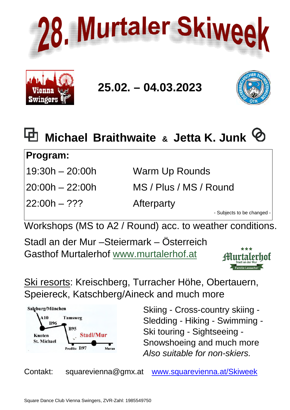



# **25.02. – 04.03.2023**





## **Program:**

| 19:30h - 20:00h |
|-----------------|
|-----------------|

22:00h – ??? Afterparty

1 **Warm Up Rounds** 

20:00h – 22:00h MS / Plus / MS / Round

- Subjects to be changed -

Workshops (MS to A2 / Round) acc. to weather conditions.

Stadl an der Mur –Steiermark – Österreich Gasthof Murtalerhof [www.murtalerhof.at](http://www.murtalerhof.at/)



Ski resorts: Kreischberg, Turracher Höhe, Obertauern, Speiereck, Katschberg/Aineck and much more



Skiing - Cross-country skiing - Sledding - Hiking - Swimming - Ski touring - Sightseeing - Snowshoeing and much more *Also suitable for non-skiers.*

Contakt: squarevienna@gmx.at [www.squarevienna.at/](http://www.squarevienna.at/)Skiweek